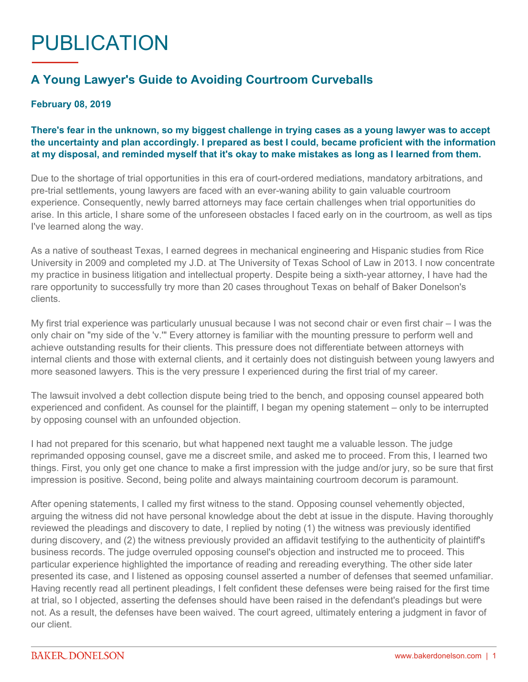## PUBLICATION

## **A Young Lawyer's Guide to Avoiding Courtroom Curveballs**

## **February 08, 2019**

## **There's fear in the unknown, so my biggest challenge in trying cases as a young lawyer was to accept the uncertainty and plan accordingly. I prepared as best I could, became proficient with the information at my disposal, and reminded myself that it's okay to make mistakes as long as I learned from them.**

Due to the shortage of trial opportunities in this era of court-ordered mediations, mandatory arbitrations, and pre-trial settlements, young lawyers are faced with an ever-waning ability to gain valuable courtroom experience. Consequently, newly barred attorneys may face certain challenges when trial opportunities do arise. In this article, I share some of the unforeseen obstacles I faced early on in the courtroom, as well as tips I've learned along the way.

As a native of southeast Texas, I earned degrees in mechanical engineering and Hispanic studies from Rice University in 2009 and completed my J.D. at The University of Texas School of Law in 2013. I now concentrate my practice in business litigation and intellectual property. Despite being a sixth-year attorney, I have had the rare opportunity to successfully try more than 20 cases throughout Texas on behalf of Baker Donelson's clients.

My first trial experience was particularly unusual because I was not second chair or even first chair – I was the only chair on "my side of the 'v.'" Every attorney is familiar with the mounting pressure to perform well and achieve outstanding results for their clients. This pressure does not differentiate between attorneys with internal clients and those with external clients, and it certainly does not distinguish between young lawyers and more seasoned lawyers. This is the very pressure I experienced during the first trial of my career.

The lawsuit involved a debt collection dispute being tried to the bench, and opposing counsel appeared both experienced and confident. As counsel for the plaintiff, I began my opening statement – only to be interrupted by opposing counsel with an unfounded objection.

I had not prepared for this scenario, but what happened next taught me a valuable lesson. The judge reprimanded opposing counsel, gave me a discreet smile, and asked me to proceed. From this, I learned two things. First, you only get one chance to make a first impression with the judge and/or jury, so be sure that first impression is positive. Second, being polite and always maintaining courtroom decorum is paramount.

After opening statements, I called my first witness to the stand. Opposing counsel vehemently objected, arguing the witness did not have personal knowledge about the debt at issue in the dispute. Having thoroughly reviewed the pleadings and discovery to date, I replied by noting (1) the witness was previously identified during discovery, and (2) the witness previously provided an affidavit testifying to the authenticity of plaintiff's business records. The judge overruled opposing counsel's objection and instructed me to proceed. This particular experience highlighted the importance of reading and rereading everything. The other side later presented its case, and I listened as opposing counsel asserted a number of defenses that seemed unfamiliar. Having recently read all pertinent pleadings, I felt confident these defenses were being raised for the first time at trial, so I objected, asserting the defenses should have been raised in the defendant's pleadings but were not. As a result, the defenses have been waived. The court agreed, ultimately entering a judgment in favor of our client.